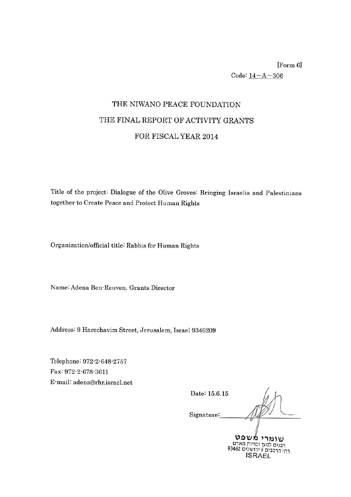[Form 6]  $Code: 14 - A - 306$ 

## THE NIWANO PEACE FOUNDATION THE FINAL REPORT OF ACTIVITY GRANTS FOR FISCAL YEAR 2014

Title of the project: Dialogue of the Olive Groves: Bringing Israelis and Palestinians together to Create Peace and Protect Human Rights

Organization/official title: Rabbis for Human Rights

Name: Adena Ben-Reuven, Grants Director

Address: 9 Harechavim Street, Jerusalem, Israel 9346209

Telephone: 972-2-648-2757 Fax: 972-2-678-3611 E-mail: adena@rhr.israel.net

Date: 15.6.15 Signature: שומרי משפט

רבנים למען זכויות האדם<br>רחי הרכבים 9 ירושלים 93462 **ISRAEL**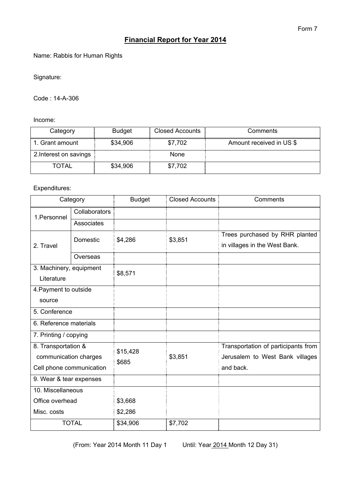## **Financial Report for Year 2014**

Name: Rabbis for Human Rights

Signature:

Code : 14-A-306

Income:

| Category                 | <b>Budget</b> | <b>Closed Accounts</b> | Comments                 |
|--------------------------|---------------|------------------------|--------------------------|
| 1. Grant amount          | \$34,906      | \$7,702                | Amount received in US \$ |
| 2. Interest on savings : |               | None                   |                          |
| TOTAL                    | \$34,906      | \$7,702                |                          |

## Expenditures:

| Category                                                                 |               | <b>Budget</b>     | <b>Closed Accounts</b> | Comments                                                                            |  |
|--------------------------------------------------------------------------|---------------|-------------------|------------------------|-------------------------------------------------------------------------------------|--|
| 1. Personnel                                                             | Collaborators |                   |                        |                                                                                     |  |
|                                                                          | Associates    |                   |                        |                                                                                     |  |
| 2. Travel                                                                | Domestic      | \$4,286           | \$3,851                | Trees purchased by RHR planted<br>in villages in the West Bank.                     |  |
|                                                                          | Overseas      |                   |                        |                                                                                     |  |
| 3. Machinery, equipment<br>Literature                                    |               | \$8,571           |                        |                                                                                     |  |
| 4. Payment to outside                                                    |               |                   |                        |                                                                                     |  |
| source                                                                   |               |                   |                        |                                                                                     |  |
| 5. Conference                                                            |               |                   |                        |                                                                                     |  |
| 6. Reference materials                                                   |               |                   |                        |                                                                                     |  |
| 7. Printing / copying                                                    |               |                   |                        |                                                                                     |  |
| 8. Transportation &<br>communication charges<br>Cell phone communication |               | \$15,428<br>\$685 | \$3,851                | Transportation of participants from<br>Jerusalem to West Bank villages<br>and back. |  |
| 9. Wear & tear expenses                                                  |               |                   |                        |                                                                                     |  |
| 10. Miscellaneous                                                        |               |                   |                        |                                                                                     |  |
| Office overhead                                                          |               | \$3,668           |                        |                                                                                     |  |
| Misc. costs                                                              |               | \$2,286           |                        |                                                                                     |  |
| <b>TOTAL</b>                                                             |               | \$34,906          | \$7,702                |                                                                                     |  |

(From: Year 2014 Month 11 Day 1 Until: Year 2014 Month 12 Day 31)